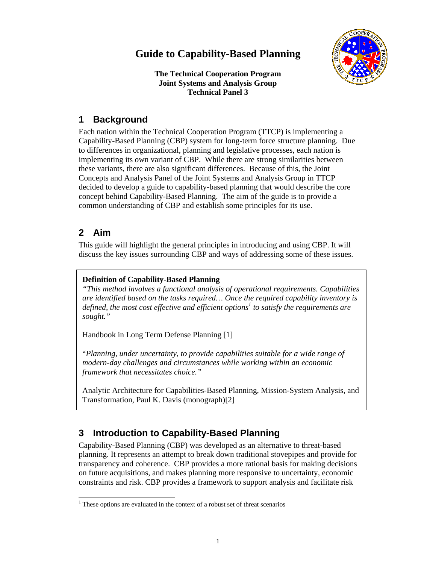# **Guide to Capability-Based Planning**



**The Technical Cooperation Program Joint Systems and Analysis Group Technical Panel 3** 

# **1 Background**

Each nation within the Technical Cooperation Program (TTCP) is implementing a Capability-Based Planning (CBP) system for long-term force structure planning. Due to differences in organizational, planning and legislative processes, each nation is implementing its own variant of CBP. While there are strong similarities between these variants, there are also significant differences. Because of this, the Joint Concepts and Analysis Panel of the Joint Systems and Analysis Group in TTCP decided to develop a guide to capability-based planning that would describe the core concept behind Capability-Based Planning. The aim of the guide is to provide a common understanding of CBP and establish some principles for its use.

# **2 Aim**

This guide will highlight the general principles in introducing and using CBP. It will discuss the key issues surrounding CBP and ways of addressing some of these issues.

## **Definition of Capability-Based Planning**

*"This method involves a functional analysis of operational requirements. Capabilities are identified based on the tasks required… Once the required capability inventory is*  defined, the most cost effective and efficient options<sup>1</sup> to satisfy the requirements are *sought."* 

Handbook in Long Term Defense Planning [1]

"*Planning, under uncertainty, to provide capabilities suitable for a wide range of modern-day challenges and circumstances while working within an economic framework that necessitates choice."*

Analytic Architecture for Capabilities-Based Planning, Mission-System Analysis, and Transformation, Paul K. Davis (monograph)[2]

# **3 Introduction to Capability-Based Planning**

Capability-Based Planning (CBP) was developed as an alternative to threat-based planning. It represents an attempt to break down traditional stovepipes and provide for transparency and coherence. CBP provides a more rational basis for making decisions on future acquisitions, and makes planning more responsive to uncertainty, economic constraints and risk. CBP provides a framework to support analysis and facilitate risk

l <sup>1</sup> These options are evaluated in the context of a robust set of threat scenarios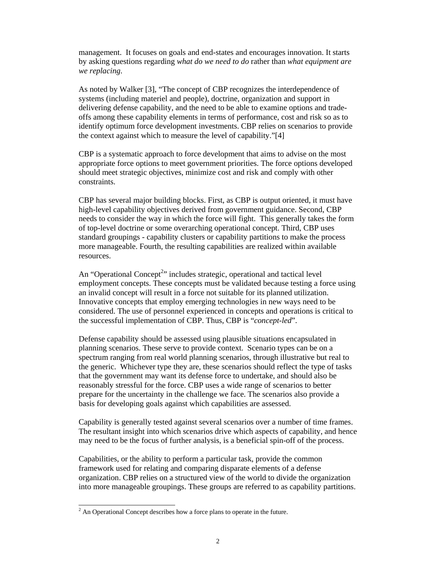management. It focuses on goals and end-states and encourages innovation. It starts by asking questions regarding *what do we need to do* rather than *what equipment are we replacing*.

As noted by Walker [3], "The concept of CBP recognizes the interdependence of systems (including materiel and people), doctrine, organization and support in delivering defense capability, and the need to be able to examine options and tradeoffs among these capability elements in terms of performance, cost and risk so as to identify optimum force development investments. CBP relies on scenarios to provide the context against which to measure the level of capability."[4]

CBP is a systematic approach to force development that aims to advise on the most appropriate force options to meet government priorities. The force options developed should meet strategic objectives, minimize cost and risk and comply with other constraints.

CBP has several major building blocks. First, as CBP is output oriented, it must have high-level capability objectives derived from government guidance. Second, CBP needs to consider the way in which the force will fight. This generally takes the form of top-level doctrine or some overarching operational concept. Third, CBP uses standard groupings - capability clusters or capability partitions to make the process more manageable. Fourth, the resulting capabilities are realized within available resources.

An "Operational Concept<sup>2</sup>" includes strategic, operational and tactical level employment concepts. These concepts must be validated because testing a force using an invalid concept will result in a force not suitable for its planned utilization. Innovative concepts that employ emerging technologies in new ways need to be considered. The use of personnel experienced in concepts and operations is critical to the successful implementation of CBP. Thus, CBP is "*concept-led*".

Defense capability should be assessed using plausible situations encapsulated in planning scenarios. These serve to provide context. Scenario types can be on a spectrum ranging from real world planning scenarios, through illustrative but real to the generic. Whichever type they are, these scenarios should reflect the type of tasks that the government may want its defense force to undertake, and should also be reasonably stressful for the force. CBP uses a wide range of scenarios to better prepare for the uncertainty in the challenge we face. The scenarios also provide a basis for developing goals against which capabilities are assessed.

Capability is generally tested against several scenarios over a number of time frames. The resultant insight into which scenarios drive which aspects of capability, and hence may need to be the focus of further analysis, is a beneficial spin-off of the process.

Capabilities, or the ability to perform a particular task, provide the common framework used for relating and comparing disparate elements of a defense organization. CBP relies on a structured view of the world to divide the organization into more manageable groupings. These groups are referred to as capability partitions.

 $\overline{a}$ 

 $2^2$  An Operational Concept describes how a force plans to operate in the future.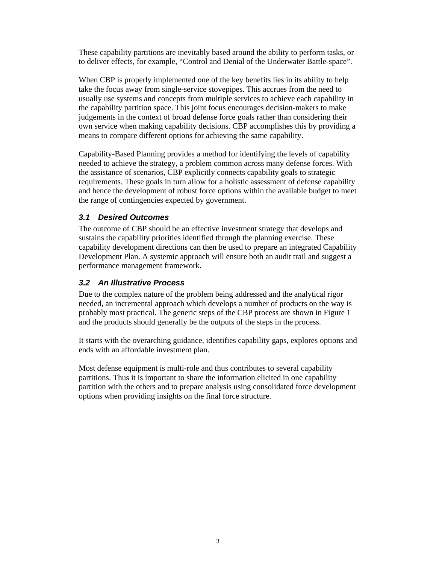These capability partitions are inevitably based around the ability to perform tasks, or to deliver effects, for example, "Control and Denial of the Underwater Battle-space".

When CBP is properly implemented one of the key benefits lies in its ability to help take the focus away from single-service stovepipes. This accrues from the need to usually use systems and concepts from multiple services to achieve each capability in the capability partition space. This joint focus encourages decision-makers to make judgements in the context of broad defense force goals rather than considering their own service when making capability decisions. CBP accomplishes this by providing a means to compare different options for achieving the same capability.

Capability-Based Planning provides a method for identifying the levels of capability needed to achieve the strategy, a problem common across many defense forces. With the assistance of scenarios, CBP explicitly connects capability goals to strategic requirements. These goals in turn allow for a holistic assessment of defense capability and hence the development of robust force options within the available budget to meet the range of contingencies expected by government.

## *3.1 Desired Outcomes*

The outcome of CBP should be an effective investment strategy that develops and sustains the capability priorities identified through the planning exercise. These capability development directions can then be used to prepare an integrated Capability Development Plan. A systemic approach will ensure both an audit trail and suggest a performance management framework.

## *3.2 An Illustrative Process*

Due to the complex nature of the problem being addressed and the analytical rigor needed, an incremental approach which develops a number of products on the way is probably most practical. The generic steps of the CBP process are shown in Figure 1 and the products should generally be the outputs of the steps in the process.

It starts with the overarching guidance, identifies capability gaps, explores options and ends with an affordable investment plan.

Most defense equipment is multi-role and thus contributes to several capability partitions. Thus it is important to share the information elicited in one capability partition with the others and to prepare analysis using consolidated force development options when providing insights on the final force structure.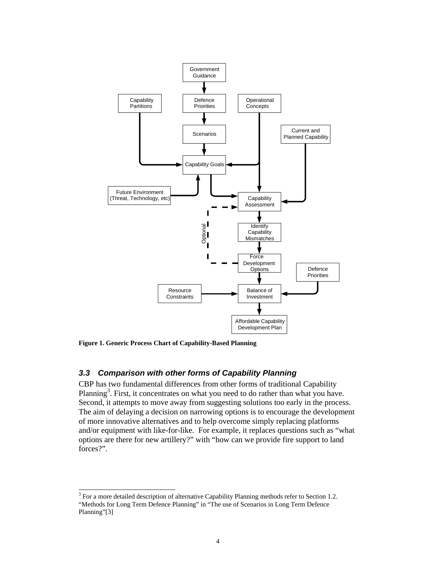

**Figure 1. Generic Process Chart of Capability-Based Planning**

l

### *3.3 Comparison with other forms of Capability Planning*

CBP has two fundamental differences from other forms of traditional Capability Planning<sup>3</sup>. First, it concentrates on what you need to do rather than what you have. Second, it attempts to move away from suggesting solutions too early in the process. The aim of delaying a decision on narrowing options is to encourage the development of more innovative alternatives and to help overcome simply replacing platforms and/or equipment with like-for-like. For example, it replaces questions such as "what options are there for new artillery?" with "how can we provide fire support to land forces?".

 $3$  For a more detailed description of alternative Capability Planning methods refer to Section 1.2. "Methods for Long Term Defence Planning" in "The use of Scenarios in Long Term Defence Planning"[3]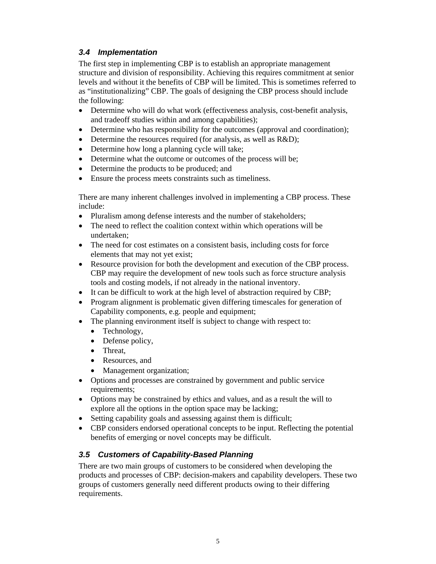## *3.4 Implementation*

The first step in implementing CBP is to establish an appropriate management structure and division of responsibility. Achieving this requires commitment at senior levels and without it the benefits of CBP will be limited. This is sometimes referred to as "institutionalizing" CBP. The goals of designing the CBP process should include the following:

- Determine who will do what work (effectiveness analysis, cost-benefit analysis, and tradeoff studies within and among capabilities);
- Determine who has responsibility for the outcomes (approval and coordination);
- Determine the resources required (for analysis, as well as R&D);
- Determine how long a planning cycle will take;
- Determine what the outcome or outcomes of the process will be;
- Determine the products to be produced; and
- Ensure the process meets constraints such as timeliness.

There are many inherent challenges involved in implementing a CBP process. These include:

- Pluralism among defense interests and the number of stakeholders;
- The need to reflect the coalition context within which operations will be undertaken;
- The need for cost estimates on a consistent basis, including costs for force elements that may not yet exist;
- Resource provision for both the development and execution of the CBP process. CBP may require the development of new tools such as force structure analysis tools and costing models, if not already in the national inventory.
- It can be difficult to work at the high level of abstraction required by CBP;
- Program alignment is problematic given differing timescales for generation of Capability components, e.g. people and equipment;
- The planning environment itself is subject to change with respect to:
	- Technology,
	- Defense policy,
	- Threat,
	- Resources, and
	- Management organization;
- Options and processes are constrained by government and public service requirements;
- Options may be constrained by ethics and values, and as a result the will to explore all the options in the option space may be lacking;
- Setting capability goals and assessing against them is difficult;
- CBP considers endorsed operational concepts to be input. Reflecting the potential benefits of emerging or novel concepts may be difficult.

### *3.5 Customers of Capability-Based Planning*

There are two main groups of customers to be considered when developing the products and processes of CBP: decision-makers and capability developers. These two groups of customers generally need different products owing to their differing requirements.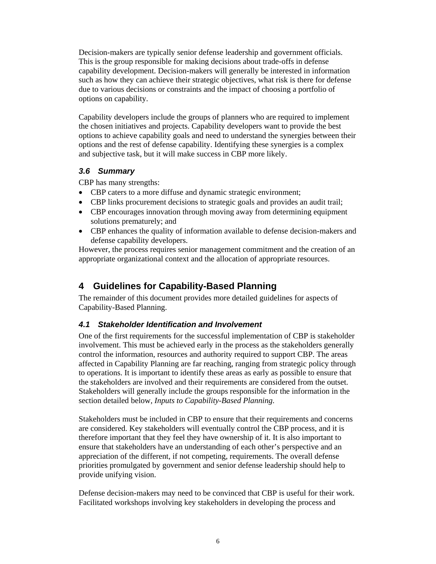Decision-makers are typically senior defense leadership and government officials. This is the group responsible for making decisions about trade-offs in defense capability development. Decision-makers will generally be interested in information such as how they can achieve their strategic objectives, what risk is there for defense due to various decisions or constraints and the impact of choosing a portfolio of options on capability.

Capability developers include the groups of planners who are required to implement the chosen initiatives and projects. Capability developers want to provide the best options to achieve capability goals and need to understand the synergies between their options and the rest of defense capability. Identifying these synergies is a complex and subjective task, but it will make success in CBP more likely.

### *3.6 Summary*

CBP has many strengths:

- CBP caters to a more diffuse and dynamic strategic environment;
- CBP links procurement decisions to strategic goals and provides an audit trail;
- CBP encourages innovation through moving away from determining equipment solutions prematurely; and
- CBP enhances the quality of information available to defense decision-makers and defense capability developers.

However, the process requires senior management commitment and the creation of an appropriate organizational context and the allocation of appropriate resources.

# **4 Guidelines for Capability-Based Planning**

The remainder of this document provides more detailed guidelines for aspects of Capability-Based Planning.

### *4.1 Stakeholder Identification and Involvement*

One of the first requirements for the successful implementation of CBP is stakeholder involvement. This must be achieved early in the process as the stakeholders generally control the information, resources and authority required to support CBP. The areas affected in Capability Planning are far reaching, ranging from strategic policy through to operations. It is important to identify these areas as early as possible to ensure that the stakeholders are involved and their requirements are considered from the outset. Stakeholders will generally include the groups responsible for the information in the section detailed below*, Inputs to Capability-Based Planning*.

Stakeholders must be included in CBP to ensure that their requirements and concerns are considered. Key stakeholders will eventually control the CBP process, and it is therefore important that they feel they have ownership of it. It is also important to ensure that stakeholders have an understanding of each other's perspective and an appreciation of the different, if not competing, requirements. The overall defense priorities promulgated by government and senior defense leadership should help to provide unifying vision.

Defense decision-makers may need to be convinced that CBP is useful for their work. Facilitated workshops involving key stakeholders in developing the process and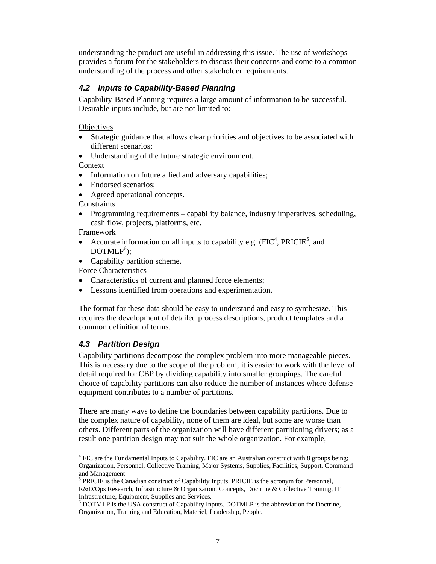understanding the product are useful in addressing this issue. The use of workshops provides a forum for the stakeholders to discuss their concerns and come to a common understanding of the process and other stakeholder requirements.

# *4.2 Inputs to Capability-Based Planning*

Capability-Based Planning requires a large amount of information to be successful. Desirable inputs include, but are not limited to:

**Objectives** 

- Strategic guidance that allows clear priorities and objectives to be associated with different scenarios;
- Understanding of the future strategic environment.

Context

- Information on future allied and adversary capabilities;
- Endorsed scenarios;
- Agreed operational concepts.

Constraints

• Programming requirements – capability balance, industry imperatives, scheduling, cash flow, projects, platforms, etc.

Framework

- Accurate information on all inputs to capability e.g.  $(FIC<sup>4</sup>, PRICIE<sup>5</sup>, and$  $DOTMLP<sup>6</sup>)$ ;
- Capability partition scheme.

Force Characteristics

- Characteristics of current and planned force elements;
- Lessons identified from operations and experimentation.

The format for these data should be easy to understand and easy to synthesize. This requires the development of detailed process descriptions, product templates and a common definition of terms.

## *4.3 Partition Design*

 $\overline{a}$ 

Capability partitions decompose the complex problem into more manageable pieces. This is necessary due to the scope of the problem; it is easier to work with the level of detail required for CBP by dividing capability into smaller groupings. The careful choice of capability partitions can also reduce the number of instances where defense equipment contributes to a number of partitions.

There are many ways to define the boundaries between capability partitions. Due to the complex nature of capability, none of them are ideal, but some are worse than others. Different parts of the organization will have different partitioning drivers; as a result one partition design may not suit the whole organization. For example,

 $4$  FIC are the Fundamental Inputs to Capability. FIC are an Australian construct with 8 groups being; Organization, Personnel, Collective Training, Major Systems, Supplies, Facilities, Support, Command and Management

<sup>&</sup>lt;sup>5</sup> PRICIE is the Canadian construct of Capability Inputs. PRICIE is the acronym for Personnel, R&D/Ops Research, Infrastructure & Organization, Concepts, Doctrine & Collective Training, IT Infrastructure, Equipment, Supplies and Services.

<sup>&</sup>lt;sup>6</sup> DOTMLP is the USA construct of Capability Inputs. DOTMLP is the abbreviation for Doctrine, Organization, Training and Education, Materiel, Leadership, People.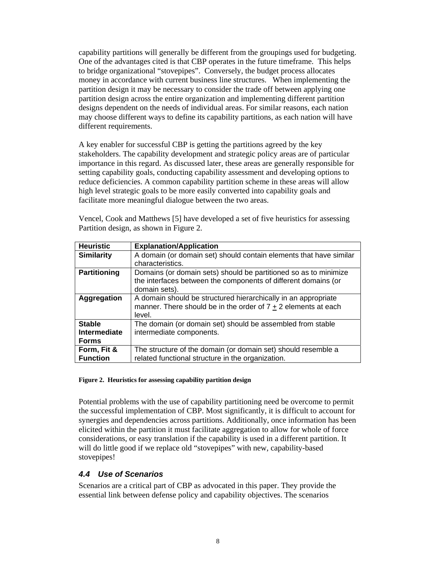capability partitions will generally be different from the groupings used for budgeting. One of the advantages cited is that CBP operates in the future timeframe. This helps to bridge organizational "stovepipes". Conversely, the budget process allocates money in accordance with current business line structures. When implementing the partition design it may be necessary to consider the trade off between applying one partition design across the entire organization and implementing different partition designs dependent on the needs of individual areas. For similar reasons, each nation may choose different ways to define its capability partitions, as each nation will have different requirements.

A key enabler for successful CBP is getting the partitions agreed by the key stakeholders. The capability development and strategic policy areas are of particular importance in this regard. As discussed later, these areas are generally responsible for setting capability goals, conducting capability assessment and developing options to reduce deficiencies. A common capability partition scheme in these areas will allow high level strategic goals to be more easily converted into capability goals and facilitate more meaningful dialogue between the two areas.

Vencel, Cook and Matthews [5] have developed a set of five heuristics for assessing Partition design, as shown in Figure 2.

| <b>Heuristic</b>    | <b>Explanation/Application</b>                                     |
|---------------------|--------------------------------------------------------------------|
| <b>Similarity</b>   | A domain (or domain set) should contain elements that have similar |
|                     | characteristics.                                                   |
| <b>Partitioning</b> | Domains (or domain sets) should be partitioned so as to minimize   |
|                     | the interfaces between the components of different domains (or     |
|                     | domain sets).                                                      |
| Aggregation         | A domain should be structured hierarchically in an appropriate     |
|                     | manner. There should be in the order of $7 + 2$ elements at each   |
|                     | level.                                                             |
| <b>Stable</b>       | The domain (or domain set) should be assembled from stable         |
| Intermediate        | intermediate components.                                           |
| <b>Forms</b>        |                                                                    |
| Form, Fit &         | The structure of the domain (or domain set) should resemble a      |
| <b>Function</b>     | related functional structure in the organization.                  |

#### **Figure 2. Heuristics for assessing capability partition design**

Potential problems with the use of capability partitioning need be overcome to permit the successful implementation of CBP. Most significantly, it is difficult to account for synergies and dependencies across partitions. Additionally, once information has been elicited within the partition it must facilitate aggregation to allow for whole of force considerations, or easy translation if the capability is used in a different partition. It will do little good if we replace old "stovepipes" with new, capability-based stovepipes!

### *4.4 Use of Scenarios*

Scenarios are a critical part of CBP as advocated in this paper. They provide the essential link between defense policy and capability objectives. The scenarios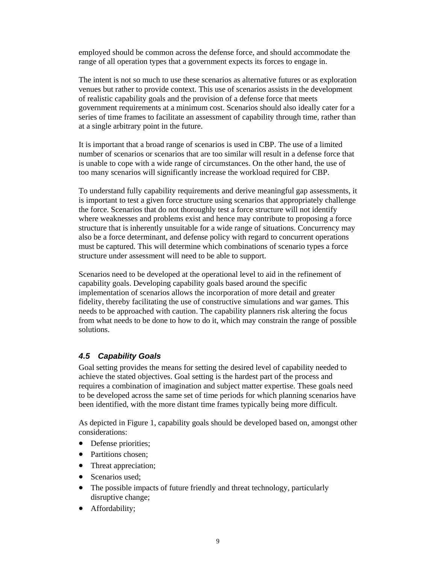employed should be common across the defense force, and should accommodate the range of all operation types that a government expects its forces to engage in.

The intent is not so much to use these scenarios as alternative futures or as exploration venues but rather to provide context. This use of scenarios assists in the development of realistic capability goals and the provision of a defense force that meets government requirements at a minimum cost. Scenarios should also ideally cater for a series of time frames to facilitate an assessment of capability through time, rather than at a single arbitrary point in the future.

It is important that a broad range of scenarios is used in CBP. The use of a limited number of scenarios or scenarios that are too similar will result in a defense force that is unable to cope with a wide range of circumstances. On the other hand, the use of too many scenarios will significantly increase the workload required for CBP.

To understand fully capability requirements and derive meaningful gap assessments, it is important to test a given force structure using scenarios that appropriately challenge the force. Scenarios that do not thoroughly test a force structure will not identify where weaknesses and problems exist and hence may contribute to proposing a force structure that is inherently unsuitable for a wide range of situations. Concurrency may also be a force determinant, and defense policy with regard to concurrent operations must be captured. This will determine which combinations of scenario types a force structure under assessment will need to be able to support.

Scenarios need to be developed at the operational level to aid in the refinement of capability goals. Developing capability goals based around the specific implementation of scenarios allows the incorporation of more detail and greater fidelity, thereby facilitating the use of constructive simulations and war games. This needs to be approached with caution. The capability planners risk altering the focus from what needs to be done to how to do it, which may constrain the range of possible solutions.

## *4.5 Capability Goals*

Goal setting provides the means for setting the desired level of capability needed to achieve the stated objectives. Goal setting is the hardest part of the process and requires a combination of imagination and subject matter expertise. These goals need to be developed across the same set of time periods for which planning scenarios have been identified, with the more distant time frames typically being more difficult.

As depicted in Figure 1, capability goals should be developed based on, amongst other considerations:

- Defense priorities;
- Partitions chosen;
- Threat appreciation;
- Scenarios used;
- The possible impacts of future friendly and threat technology, particularly disruptive change;
- Affordability;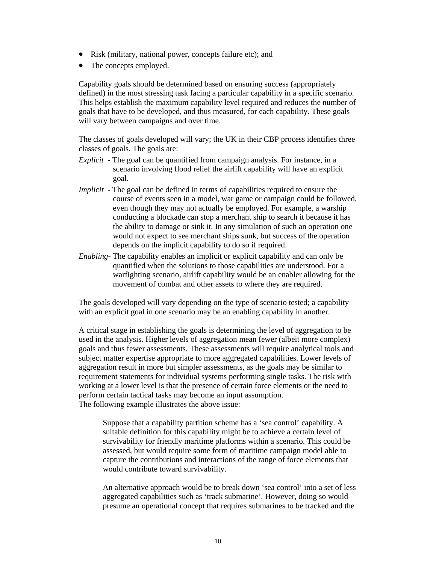- Risk (military, national power, concepts failure etc); and
- The concepts employed.

Capability goals should be determined based on ensuring success (appropriately defined) in the most stressing task facing a particular capability in a specific scenario. This helps establish the maximum capability level required and reduces the number of goals that have to be developed, and thus measured, for each capability. These goals will vary between campaigns and over time.

The classes of goals developed will vary; the UK in their CBP process identifies three classes of goals. The goals are:

- *Explicit*  The goal can be quantified from campaign analysis. For instance, in a scenario involving flood relief the airlift capability will have an explicit goal.
- *Implicit* The goal can be defined in terms of capabilities required to ensure the course of events seen in a model, war game or campaign could be followed, even though they may not actually be employed. For example, a warship conducting a blockade can stop a merchant ship to search it because it has the ability to damage or sink it. In any simulation of such an operation one would not expect to see merchant ships sunk, but success of the operation depends on the implicit capability to do so if required.
- *Enabling* The capability enables an implicit or explicit capability and can only be quantified when the solutions to those capabilities are understood. For a warfighting scenario, airlift capability would be an enabler allowing for the movement of combat and other assets to where they are required.

The goals developed will vary depending on the type of scenario tested; a capability with an explicit goal in one scenario may be an enabling capability in another.

A critical stage in establishing the goals is determining the level of aggregation to be used in the analysis. Higher levels of aggregation mean fewer (albeit more complex) goals and thus fewer assessments. These assessments will require analytical tools and subject matter expertise appropriate to more aggregated capabilities. Lower levels of aggregation result in more but simpler assessments, as the goals may be similar to requirement statements for individual systems performing single tasks. The risk with working at a lower level is that the presence of certain force elements or the need to perform certain tactical tasks may become an input assumption. The following example illustrates the above issue:

Suppose that a capability partition scheme has a 'sea control' capability. A suitable definition for this capability might be to achieve a certain level of survivability for friendly maritime platforms within a scenario. This could be assessed, but would require some form of maritime campaign model able to capture the contributions and interactions of the range of force elements that would contribute toward survivability.

An alternative approach would be to break down 'sea control' into a set of less aggregated capabilities such as 'track submarine'. However, doing so would presume an operational concept that requires submarines to be tracked and the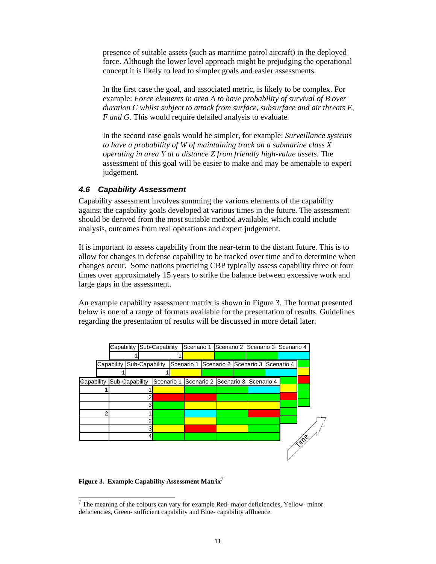presence of suitable assets (such as maritime patrol aircraft) in the deployed force. Although the lower level approach might be prejudging the operational concept it is likely to lead to simpler goals and easier assessments.

In the first case the goal, and associated metric, is likely to be complex. For example: *Force elements in area A to have probability of survival of B over duration C whilst subject to attack from surface, subsurface and air threats E, F and G*. This would require detailed analysis to evaluate.

In the second case goals would be simpler, for example: *Surveillance systems to have a probability of W of maintaining track on a submarine class X operating in area Y at a distance Z from friendly high-value assets.* The assessment of this goal will be easier to make and may be amenable to expert judgement.

### *4.6 Capability Assessment*

Capability assessment involves summing the various elements of the capability against the capability goals developed at various times in the future. The assessment should be derived from the most suitable method available, which could include analysis, outcomes from real operations and expert judgement.

It is important to assess capability from the near-term to the distant future. This is to allow for changes in defense capability to be tracked over time and to determine when changes occur. Some nations practicing CBP typically assess capability three or four times over approximately 15 years to strike the balance between excessive work and large gaps in the assessment.

An example capability assessment matrix is shown in Figure 3. The format presented below is one of a range of formats available for the presentation of results. Guidelines regarding the presentation of results will be discussed in more detail later.



#### **Figure 3. Example Capability Assessment Matrix7**

l  $7$  The meaning of the colours can vary for example Red- major deficiencies, Yellow- minor deficiencies, Green- sufficient capability and Blue- capability affluence.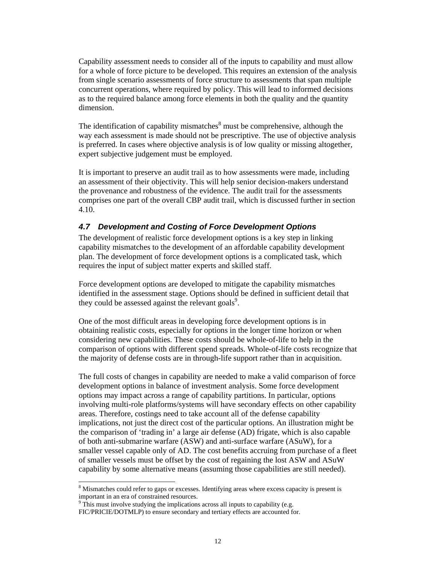Capability assessment needs to consider all of the inputs to capability and must allow for a whole of force picture to be developed. This requires an extension of the analysis from single scenario assessments of force structure to assessments that span multiple concurrent operations, where required by policy. This will lead to informed decisions as to the required balance among force elements in both the quality and the quantity dimension.

The identification of capability mismatches $\delta$  must be comprehensive, although the way each assessment is made should not be prescriptive. The use of objective analysis is preferred. In cases where objective analysis is of low quality or missing altogether, expert subjective judgement must be employed.

It is important to preserve an audit trail as to how assessments were made, including an assessment of their objectivity. This will help senior decision-makers understand the provenance and robustness of the evidence. The audit trail for the assessments comprises one part of the overall CBP audit trail, which is discussed further in section 4.10.

#### *4.7 Development and Costing of Force Development Options*

The development of realistic force development options is a key step in linking capability mismatches to the development of an affordable capability development plan. The development of force development options is a complicated task, which requires the input of subject matter experts and skilled staff.

Force development options are developed to mitigate the capability mismatches identified in the assessment stage. Options should be defined in sufficient detail that they could be assessed against the relevant goals<sup>9</sup>.

One of the most difficult areas in developing force development options is in obtaining realistic costs, especially for options in the longer time horizon or when considering new capabilities. These costs should be whole-of-life to help in the comparison of options with different spend spreads. Whole-of-life costs recognize that the majority of defense costs are in through-life support rather than in acquisition.

The full costs of changes in capability are needed to make a valid comparison of force development options in balance of investment analysis. Some force development options may impact across a range of capability partitions. In particular, options involving multi-role platforms/systems will have secondary effects on other capability areas. Therefore, costings need to take account all of the defense capability implications, not just the direct cost of the particular options. An illustration might be the comparison of 'trading in' a large air defense (AD) frigate, which is also capable of both anti-submarine warfare (ASW) and anti-surface warfare (ASuW), for a smaller vessel capable only of AD. The cost benefits accruing from purchase of a fleet of smaller vessels must be offset by the cost of regaining the lost ASW and ASuW capability by some alternative means (assuming those capabilities are still needed).

1

<sup>&</sup>lt;sup>8</sup> Mismatches could refer to gaps or excesses. Identifying areas where excess capacity is present is important in an era of constrained resources.

<sup>&</sup>lt;sup>9</sup> This must involve studying the implications across all inputs to capability (e.g.

FIC/PRICIE/DOTMLP) to ensure secondary and tertiary effects are accounted for.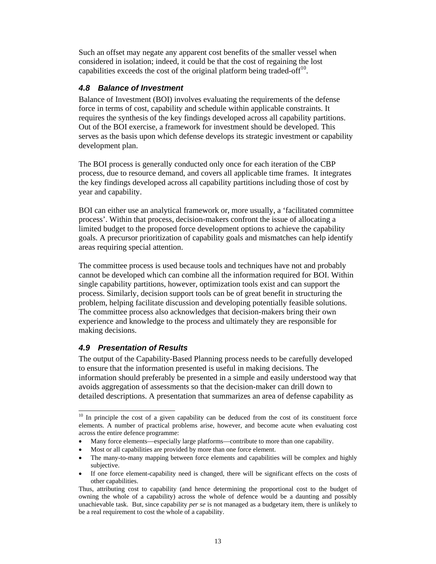Such an offset may negate any apparent cost benefits of the smaller vessel when considered in isolation; indeed, it could be that the cost of regaining the lost capabilities exceeds the cost of the original platform being traded-off<sup>10</sup>.

### *4.8 Balance of Investment*

Balance of Investment (BOI) involves evaluating the requirements of the defense force in terms of cost, capability and schedule within applicable constraints. It requires the synthesis of the key findings developed across all capability partitions. Out of the BOI exercise, a framework for investment should be developed. This serves as the basis upon which defense develops its strategic investment or capability development plan.

The BOI process is generally conducted only once for each iteration of the CBP process, due to resource demand, and covers all applicable time frames. It integrates the key findings developed across all capability partitions including those of cost by year and capability.

BOI can either use an analytical framework or, more usually, a 'facilitated committee process'. Within that process, decision-makers confront the issue of allocating a limited budget to the proposed force development options to achieve the capability goals. A precursor prioritization of capability goals and mismatches can help identify areas requiring special attention.

The committee process is used because tools and techniques have not and probably cannot be developed which can combine all the information required for BOI. Within single capability partitions, however, optimization tools exist and can support the process. Similarly, decision support tools can be of great benefit in structuring the problem, helping facilitate discussion and developing potentially feasible solutions. The committee process also acknowledges that decision-makers bring their own experience and knowledge to the process and ultimately they are responsible for making decisions.

### *4.9 Presentation of Results*

 $\overline{a}$ 

The output of the Capability-Based Planning process needs to be carefully developed to ensure that the information presented is useful in making decisions. The information should preferably be presented in a simple and easily understood way that avoids aggregation of assessments so that the decision-maker can drill down to detailed descriptions. A presentation that summarizes an area of defense capability as

<sup>&</sup>lt;sup>10</sup> In principle the cost of a given capability can be deduced from the cost of its constituent force elements. A number of practical problems arise, however, and become acute when evaluating cost across the entire defence programme:

<sup>•</sup> Many force elements—especially large platforms—contribute to more than one capability.

Most or all capabilities are provided by more than one force element.

<sup>•</sup> The many-to-many mapping between force elements and capabilities will be complex and highly subjective.

If one force element-capability need is changed, there will be significant effects on the costs of other capabilities.

Thus, attributing cost to capability (and hence determining the proportional cost to the budget of owning the whole of a capability) across the whole of defence would be a daunting and possibly unachievable task. But, since capability *per se* is not managed as a budgetary item, there is unlikely to be a real requirement to cost the whole of a capability.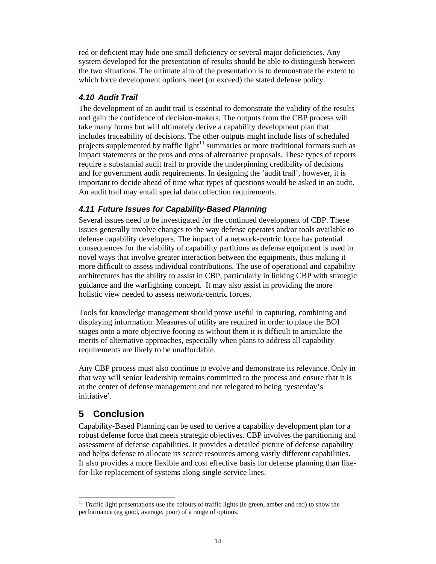red or deficient may hide one small deficiency or several major deficiencies. Any system developed for the presentation of results should be able to distinguish between the two situations. The ultimate aim of the presentation is to demonstrate the extent to which force development options meet (or exceed) the stated defense policy.

# *4.10 Audit Trail*

The development of an audit trail is essential to demonstrate the validity of the results and gain the confidence of decision-makers. The outputs from the CBP process will take many forms but will ultimately derive a capability development plan that includes traceability of decisions. The other outputs might include lists of scheduled projects supplemented by traffic light<sup>11</sup> summaries or more traditional formats such as impact statements or the pros and cons of alternative proposals. These types of reports require a substantial audit trail to provide the underpinning credibility of decisions and for government audit requirements. In designing the 'audit trail', however, it is important to decide ahead of time what types of questions would be asked in an audit. An audit trail may entail special data collection requirements.

# *4.11 Future Issues for Capability-Based Planning*

Several issues need to be investigated for the continued development of CBP. These issues generally involve changes to the way defense operates and/or tools available to defense capability developers. The impact of a network-centric force has potential consequences for the viability of capability partitions as defense equipment is used in novel ways that involve greater interaction between the equipments, thus making it more difficult to assess individual contributions. The use of operational and capability architectures has the ability to assist in CBP, particularly in linking CBP with strategic guidance and the warfighting concept. It may also assist in providing the more holistic view needed to assess network-centric forces.

Tools for knowledge management should prove useful in capturing, combining and displaying information. Measures of utility are required in order to place the BOI stages onto a more objective footing as without them it is difficult to articulate the merits of alternative approaches, especially when plans to address all capability requirements are likely to be unaffordable.

Any CBP process must also continue to evolve and demonstrate its relevance. Only in that way will senior leadership remains committed to the process and ensure that it is at the center of defense management and not relegated to being 'yesterday's initiative'.

# **5 Conclusion**

Capability-Based Planning can be used to derive a capability development plan for a robust defense force that meets strategic objectives. CBP involves the partitioning and assessment of defense capabilities. It provides a detailed picture of defense capability and helps defense to allocate its scarce resources among vastly different capabilities. It also provides a more flexible and cost effective basis for defense planning than likefor-like replacement of systems along single-service lines.

l  $11$  Traffic light presentations use the colours of traffic lights (ie green, amber and red) to show the performance (eg good, average, poor) of a range of options.